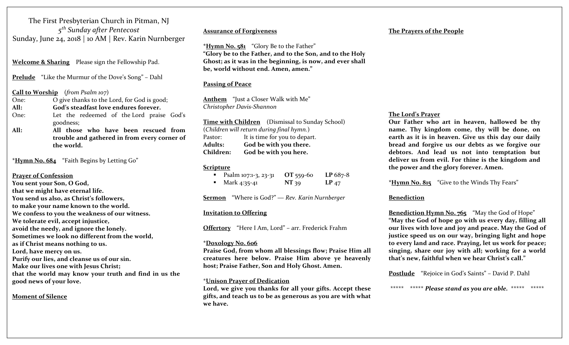The First Presbyterian Church in Pitman, NJ *<sup>5</sup>th Sunday after Pentecost* Sunday, June 24, <sup>2018</sup> | <sup>10</sup> AM | Rev. Karin Nurnberger

**Welcome & Sharing** Please sign the Fellowship Pad.

**Prelude** "Like the Murmur of the Dove's Song" – Dahl

#### **Call to Worship** (*from Psalm <sup>107</sup>*)

One:O give thanks to the Lord, for God is good;

**All:God's steadfast love endures forever.**

One: Let the redeemed of the Lord praise God's goodness;

**All: All those who have been rescued fromtrouble and gathered in from every corner of the world.**

**\*Hymn No. 684** "Faith Begins by Letting Go"

#### **Prayer of Confession**

**You sent your Son, O God, that we might have eternal life. You send us also, as Christ's followers, to make your name known to the world. We confess to you the weakness of our witness. We tolerate evil, accep<sup>t</sup> injustice, avoid the needy, and ignore the lonely. Sometimes we look no different from the world, as if Christ means nothing to us. Lord, have mercy on us. Purify our lies, and cleanse us of our sin. Make our lives one with Jesus Christ; that the world may know your truth and find in us the**

**good news of your love.**

# **Moment of Silence**

#### **Assurance of Forgiveness**

**\*Hymn No. <sup>5</sup><sup>81</sup>** "Glory Be to the Father" **"Glory be to the Father, and to the Son, and to the Holy Ghost; as it was in the beginning, is now, and ever shall be, world without end. Amen, amen."**

# **Passing of Peace**

**Anthem** "Just a Closer Walk with Me" *Christopher Davis‐Shannon*

**Time with Children** (Dismissal to Sunday School) (*Children will return during final hymn.*) Pastor: It is time for you to depart. **Adults: God be with you there. Children:God be with you here.**

#### **Scripture**

| Psalm 107:1-3, 23-31 | OT 559-60 | $LP 687-8$ |
|----------------------|-----------|------------|
| Mark 4:35-41         | NT 39     | $LP_{47}$  |

**Sermon** "Where is God?" ― *Rev. Karin Nurnberger*

# **Invitation to Offering**

**Offertory** "Here <sup>I</sup> Am, Lord" – arr. Frederick Frahm

#### **\*Doxology No. 606**

**Praise God, from whom all blessings flow; Praise Him all creatures here below. Praise Him above ye heavenly host; Praise Father, Son and Holy Ghost. Amen.**

# \***Unison Prayer of Dedication**

**Lord, we give you thanks for all your gifts. Accept these gifts, and teach us to be as generous as you are with what we have.**

#### **The Prayers of the People**

#### **The Lord's Prayer**

**Our Father who art in heaven, hallowed be thy name. Thy kingdom come, thy will be done, on earth as it is in heaven. Give us this day our daily bread and forgive us our debts as we forgive our debtors. And lead us not into temptation but deliver us from evil. For thine is the kingdom and the power and the glory forever. Amen.**

**\*Hymn No. 815** "Give to the Winds Thy Fears"

# **Benediction**

**Benediction Hymn No. 765** "May the God of Hope" **"May the God of hope go with us every day, filling all our lives with love and joy and peace. May the God of justice speed us on our way, bringing light and hope to every land and race. Praying, let us work for peace; singing, share our joy with all; working for a world that's new, faithful when we hear Christ's call."**

**Postlude** "Rejoice in God's Saints" – David P. Dahl

\*\*\*\*\* \*\*\*\*\* *Please stand as you are able.* \*\*\*\*\* \*\*\*\*\*